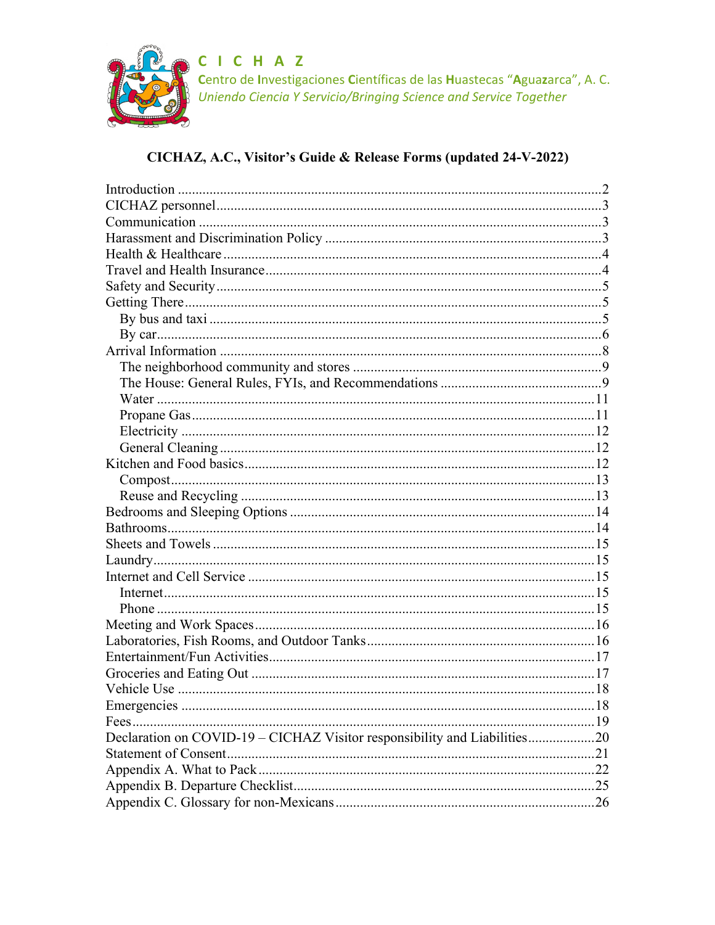

C I C H A Z<br>Centro de Investigaciones Científicas de las Huastecas "Aguazarca", A. C.<br>Uniendo Ciencia Y Servicio/Bringing Science and Service Together

## CICHAZ, A.C., Visitor's Guide & Release Forms (updated 24-V-2022)

| Declaration on COVID-19 - CICHAZ Visitor responsibility and Liabilities20 |  |
|---------------------------------------------------------------------------|--|
|                                                                           |  |
|                                                                           |  |
|                                                                           |  |
|                                                                           |  |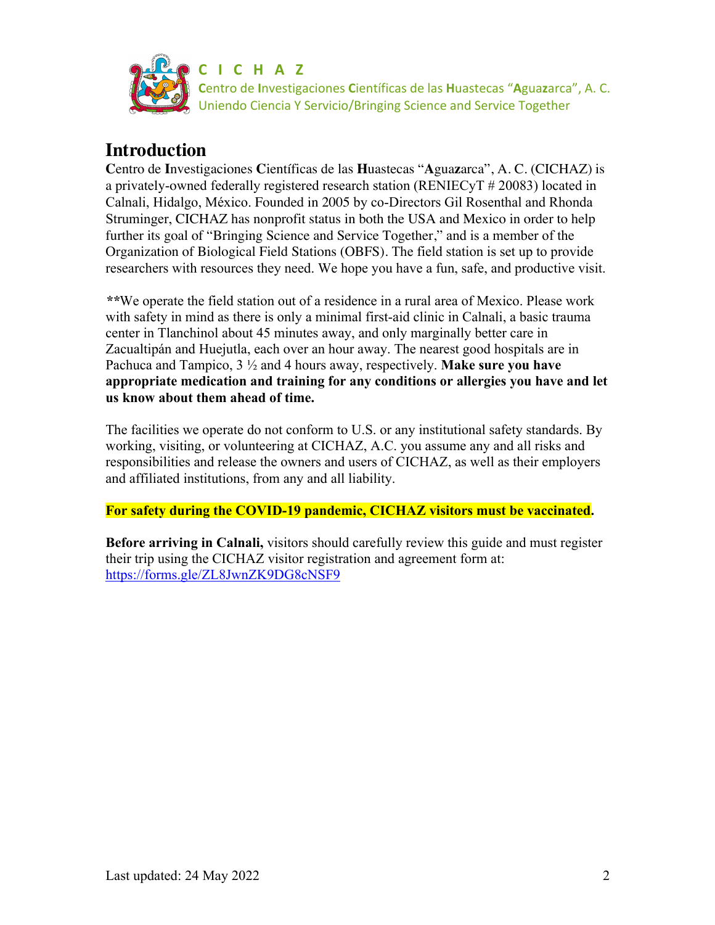

## **Introduction**

**C**entro de **I**nvestigaciones **C**ientíficas de las **H**uastecas "**A**gua**z**arca", A. C. (CICHAZ) is a privately-owned federally registered research station (RENIECyT # 20083) located in Calnali, Hidalgo, México. Founded in 2005 by co-Directors Gil Rosenthal and Rhonda Struminger, CICHAZ has nonprofit status in both the USA and Mexico in order to help further its goal of "Bringing Science and Service Together," and is a member of the Organization of Biological Field Stations (OBFS). The field station is set up to provide researchers with resources they need. We hope you have a fun, safe, and productive visit.

*\*\**We operate the field station out of a residence in a rural area of Mexico. Please work with safety in mind as there is only a minimal first-aid clinic in Calnali, a basic trauma center in Tlanchinol about 45 minutes away, and only marginally better care in Zacualtipán and Huejutla, each over an hour away. The nearest good hospitals are in Pachuca and Tampico, 3 ½ and 4 hours away, respectively. **Make sure you have appropriate medication and training for any conditions or allergies you have and let us know about them ahead of time.**

The facilities we operate do not conform to U.S. or any institutional safety standards. By working, visiting, or volunteering at CICHAZ, A.C. you assume any and all risks and responsibilities and release the owners and users of CICHAZ, as well as their employers and affiliated institutions, from any and all liability.

**For safety during the COVID-19 pandemic, CICHAZ visitors must be vaccinated.**

**Before arriving in Calnali,** visitors should carefully review this guide and must register their trip using the CICHAZ visitor registration and agreement form at: https://forms.gle/ZL8JwnZK9DG8cNSF9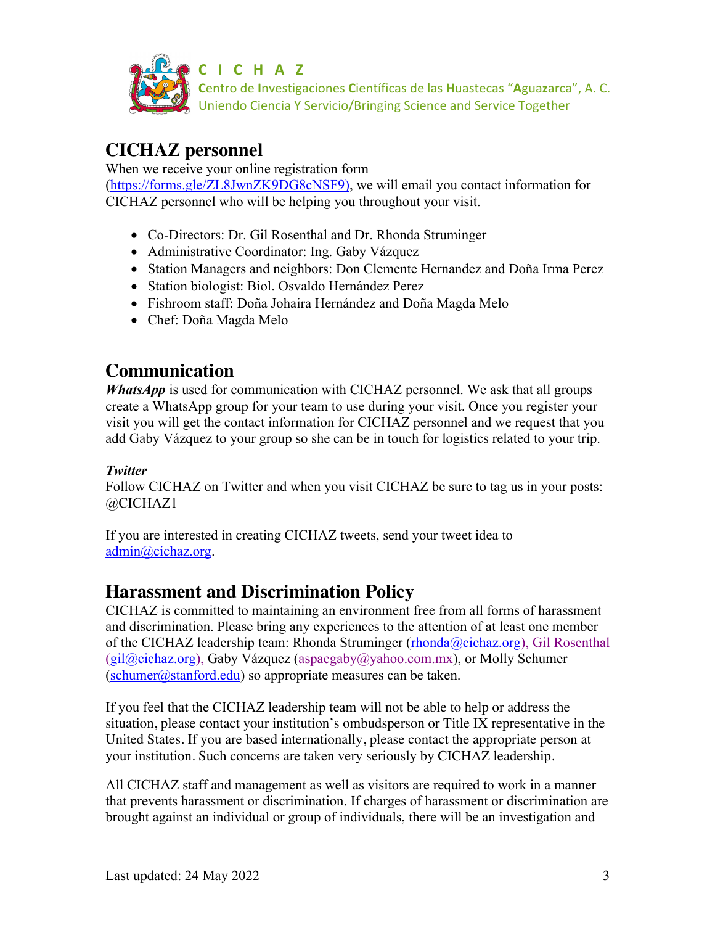

**C I C H A Z**

**C**entro de **I**nvestigaciones **C**ientíficas de las **H**uastecas "**A**gua**z**arca", A. C. Uniendo Ciencia Y Servicio/Bringing Science and Service Together

# **CICHAZ personnel**

When we receive your online registration form

(https://forms.gle/ZL8JwnZK9DG8cNSF9), we will email you contact information for CICHAZ personnel who will be helping you throughout your visit.

- Co-Directors: Dr. Gil Rosenthal and Dr. Rhonda Struminger
- Administrative Coordinator: Ing. Gaby Vázquez
- Station Managers and neighbors: Don Clemente Hernandez and Doña Irma Perez
- Station biologist: Biol. Osvaldo Hernández Perez
- Fishroom staff: Doña Johaira Hernández and Doña Magda Melo
- Chef: Doña Magda Melo

# **Communication**

*WhatsApp* is used for communication with CICHAZ personnel. We ask that all groups create a WhatsApp group for your team to use during your visit. Once you register your visit you will get the contact information for CICHAZ personnel and we request that you add Gaby Vázquez to your group so she can be in touch for logistics related to your trip.

## *Twitter*

Follow CICHAZ on Twitter and when you visit CICHAZ be sure to tag us in your posts: @CICHAZ1

If you are interested in creating CICHAZ tweets, send your tweet idea to admin@cichaz.org.

# **Harassment and Discrimination Policy**

CICHAZ is committed to maintaining an environment free from all forms of harassment and discrimination. Please bring any experiences to the attention of at least one member of the CICHAZ leadership team: Rhonda Struminger (rhonda@cichaz.org), Gil Rosenthal  $(gil@cichaz.org)$ , Gaby Vázquez (aspacgaby@yahoo.com.mx), or Molly Schumer  $(\text{schumer}(\hat{\omega})\text{stanford.edu})$  so appropriate measures can be taken.

If you feel that the CICHAZ leadership team will not be able to help or address the situation, please contact your institution's ombudsperson or Title IX representative in the United States. If you are based internationally, please contact the appropriate person at your institution. Such concerns are taken very seriously by CICHAZ leadership.

All CICHAZ staff and management as well as visitors are required to work in a manner that prevents harassment or discrimination. If charges of harassment or discrimination are brought against an individual or group of individuals, there will be an investigation and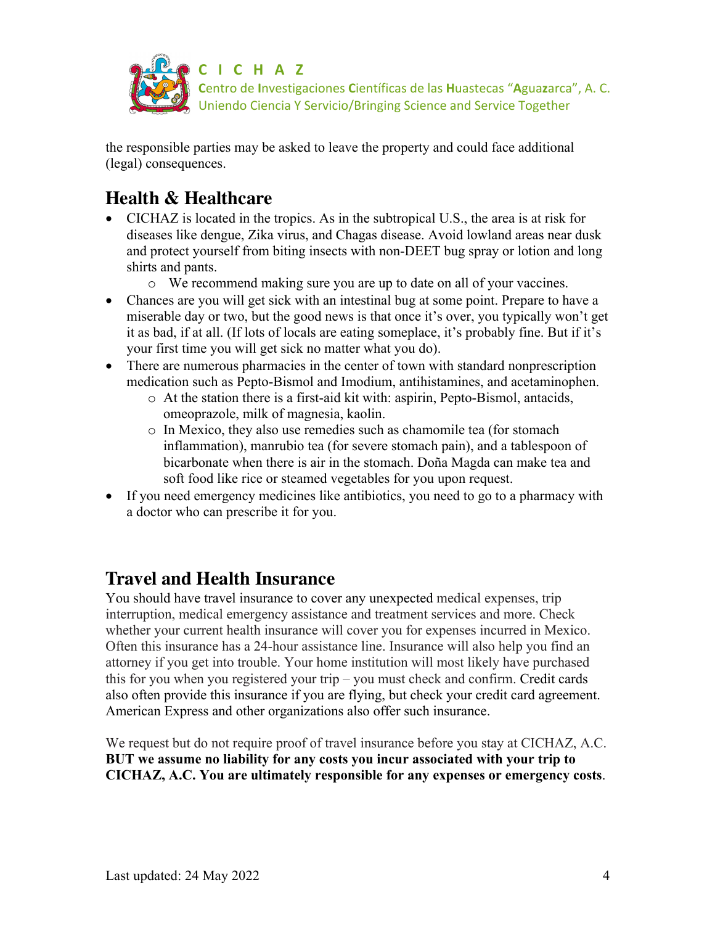

the responsible parties may be asked to leave the property and could face additional (legal) consequences.

# **Health & Healthcare**

- CICHAZ is located in the tropics. As in the subtropical U.S., the area is at risk for diseases like dengue, Zika virus, and Chagas disease. Avoid lowland areas near dusk and protect yourself from biting insects with non-DEET bug spray or lotion and long shirts and pants.
	- o We recommend making sure you are up to date on all of your vaccines.
- Chances are you will get sick with an intestinal bug at some point. Prepare to have a miserable day or two, but the good news is that once it's over, you typically won't get it as bad, if at all. (If lots of locals are eating someplace, it's probably fine. But if it's your first time you will get sick no matter what you do).
- There are numerous pharmacies in the center of town with standard nonprescription medication such as Pepto-Bismol and Imodium, antihistamines, and acetaminophen.
	- o At the station there is a first-aid kit with: aspirin, Pepto-Bismol, antacids, omeoprazole, milk of magnesia, kaolin.
	- o In Mexico, they also use remedies such as chamomile tea (for stomach inflammation), manrubio tea (for severe stomach pain), and a tablespoon of bicarbonate when there is air in the stomach. Doña Magda can make tea and soft food like rice or steamed vegetables for you upon request.
- If you need emergency medicines like antibiotics, you need to go to a pharmacy with a doctor who can prescribe it for you.

## **Travel and Health Insurance**

You should have travel insurance to cover any unexpected medical expenses, trip interruption, medical emergency assistance and treatment services and more. Check whether your current health insurance will cover you for expenses incurred in Mexico. Often this insurance has a 24-hour assistance line. Insurance will also help you find an attorney if you get into trouble. Your home institution will most likely have purchased this for you when you registered your trip – you must check and confirm. Credit cards also often provide this insurance if you are flying, but check your credit card agreement. American Express and other organizations also offer such insurance.

We request but do not require proof of travel insurance before you stay at CICHAZ, A.C. **BUT we assume no liability for any costs you incur associated with your trip to CICHAZ, A.C. You are ultimately responsible for any expenses or emergency costs**.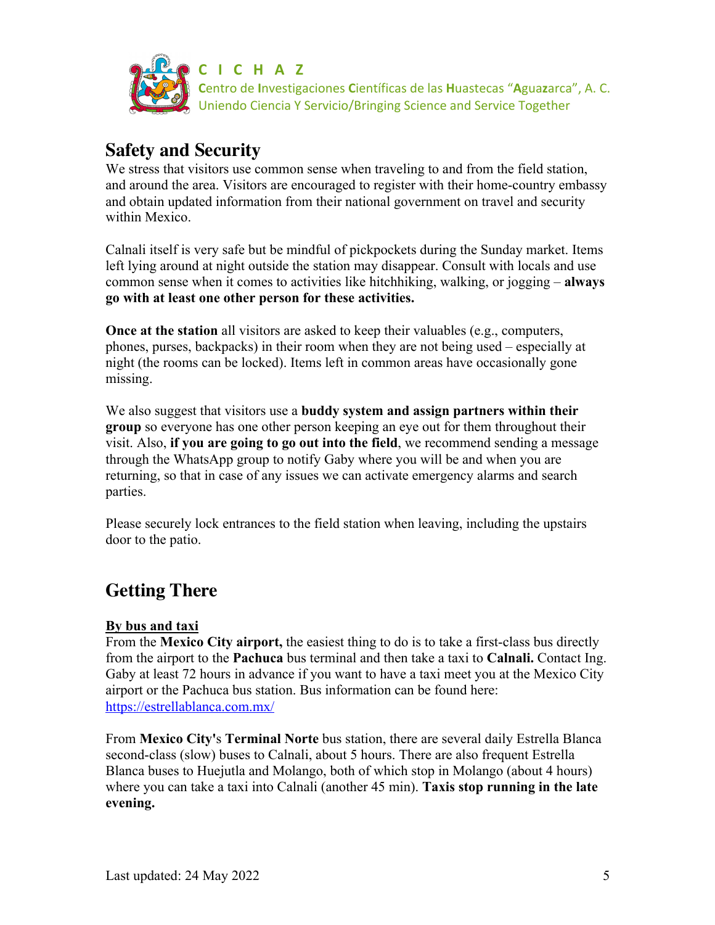

## **Safety and Security**

We stress that visitors use common sense when traveling to and from the field station, and around the area. Visitors are encouraged to register with their home-country embassy and obtain updated information from their national government on travel and security within Mexico.

Calnali itself is very safe but be mindful of pickpockets during the Sunday market. Items left lying around at night outside the station may disappear. Consult with locals and use common sense when it comes to activities like hitchhiking, walking, or jogging – **always go with at least one other person for these activities.** 

**Once at the station** all visitors are asked to keep their valuables (e.g., computers, phones, purses, backpacks) in their room when they are not being used – especially at night (the rooms can be locked). Items left in common areas have occasionally gone missing.

We also suggest that visitors use a **buddy system and assign partners within their group** so everyone has one other person keeping an eye out for them throughout their visit. Also, **if you are going to go out into the field**, we recommend sending a message through the WhatsApp group to notify Gaby where you will be and when you are returning, so that in case of any issues we can activate emergency alarms and search parties.

Please securely lock entrances to the field station when leaving, including the upstairs door to the patio.

# **Getting There**

### **By bus and taxi**

From the **Mexico City airport,** the easiest thing to do is to take a first-class bus directly from the airport to the **Pachuca** bus terminal and then take a taxi to **Calnali.** Contact Ing. Gaby at least 72 hours in advance if you want to have a taxi meet you at the Mexico City airport or the Pachuca bus station. Bus information can be found here: https://estrellablanca.com.mx/

From **Mexico City'**s **Terminal Norte** bus station, there are several daily Estrella Blanca second-class (slow) buses to Calnali, about 5 hours. There are also frequent Estrella Blanca buses to Huejutla and Molango, both of which stop in Molango (about 4 hours) where you can take a taxi into Calnali (another 45 min). **Taxis stop running in the late evening.**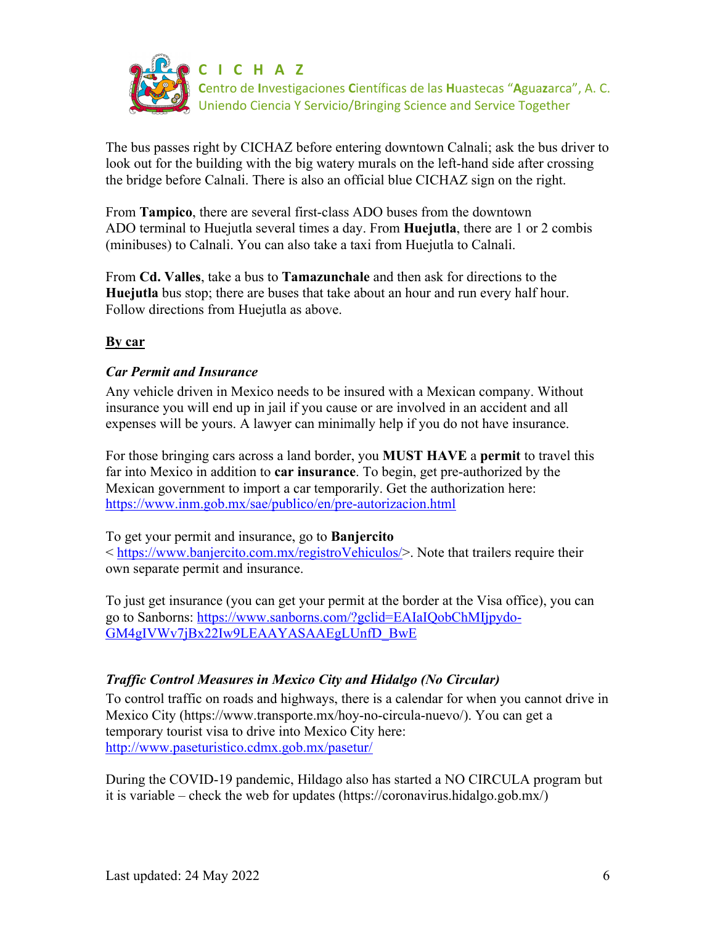

The bus passes right by CICHAZ before entering downtown Calnali; ask the bus driver to look out for the building with the big watery murals on the left-hand side after crossing the bridge before Calnali. There is also an official blue CICHAZ sign on the right.

From **Tampico**, there are several first-class ADO buses from the downtown ADO terminal to Huejutla several times a day. From **Huejutla**, there are 1 or 2 combis (minibuses) to Calnali. You can also take a taxi from Huejutla to Calnali.

From **Cd. Valles**, take a bus to **Tamazunchale** and then ask for directions to the **Huejutla** bus stop; there are buses that take about an hour and run every half hour. Follow directions from Huejutla as above.

### **By car**

### *Car Permit and Insurance*

Any vehicle driven in Mexico needs to be insured with a Mexican company. Without insurance you will end up in jail if you cause or are involved in an accident and all expenses will be yours. A lawyer can minimally help if you do not have insurance.

For those bringing cars across a land border, you **MUST HAVE** a **permit** to travel this far into Mexico in addition to **car insurance**. To begin, get pre-authorized by the Mexican government to import a car temporarily. Get the authorization here: https://www.inm.gob.mx/sae/publico/en/pre-autorizacion.html

To get your permit and insurance, go to **Banjercito**

< https://www.banjercito.com.mx/registroVehiculos/>. Note that trailers require their own separate permit and insurance.

To just get insurance (you can get your permit at the border at the Visa office), you can go to Sanborns: https://www.sanborns.com/?gclid=EAIaIQobChMIjpydo-GM4gIVWv7jBx22Iw9LEAAYASAAEgLUnfD\_BwE

## *Traffic Control Measures in Mexico City and Hidalgo (No Circular)*

To control traffic on roads and highways, there is a calendar for when you cannot drive in Mexico City (https://www.transporte.mx/hoy-no-circula-nuevo/). You can get a temporary tourist visa to drive into Mexico City here: http://www.paseturistico.cdmx.gob.mx/pasetur/

During the COVID-19 pandemic, Hildago also has started a NO CIRCULA program but it is variable – check the web for updates (https://coronavirus.hidalgo.gob.mx/)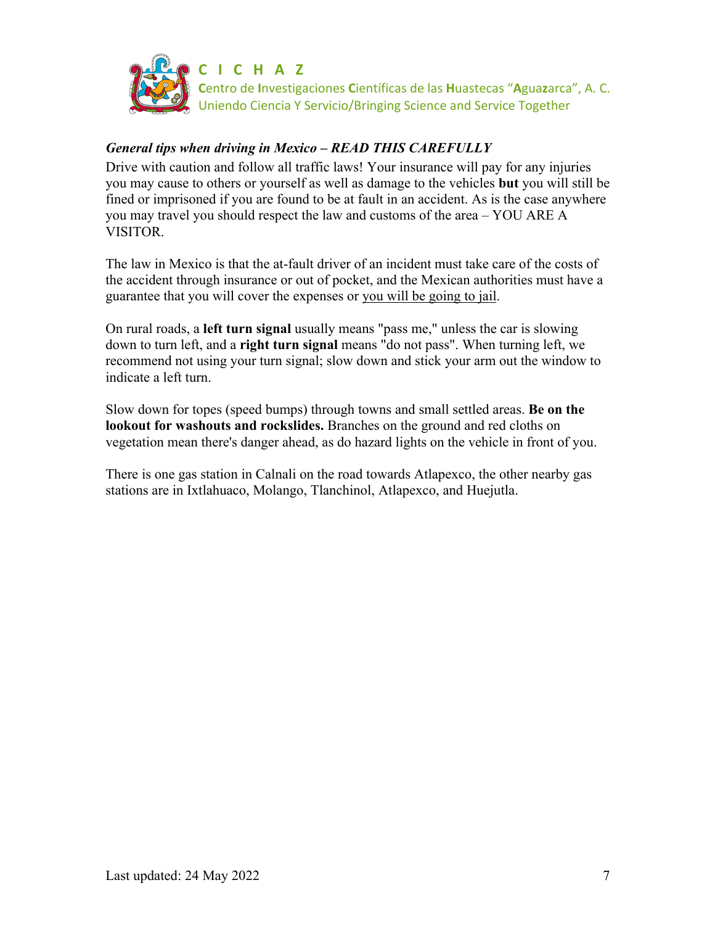

### *General tips when driving in Mexico – READ THIS CAREFULLY*

Drive with caution and follow all traffic laws! Your insurance will pay for any injuries you may cause to others or yourself as well as damage to the vehicles **but** you will still be fined or imprisoned if you are found to be at fault in an accident. As is the case anywhere you may travel you should respect the law and customs of the area – YOU ARE A VISITOR.

The law in Mexico is that the at-fault driver of an incident must take care of the costs of the accident through insurance or out of pocket, and the Mexican authorities must have a guarantee that you will cover the expenses or you will be going to jail.

On rural roads, a **left turn signal** usually means "pass me," unless the car is slowing down to turn left, and a **right turn signal** means "do not pass". When turning left, we recommend not using your turn signal; slow down and stick your arm out the window to indicate a left turn.

Slow down for topes (speed bumps) through towns and small settled areas. **Be on the lookout for washouts and rockslides.** Branches on the ground and red cloths on vegetation mean there's danger ahead, as do hazard lights on the vehicle in front of you.

There is one gas station in Calnali on the road towards Atlapexco, the other nearby gas stations are in Ixtlahuaco, Molango, Tlanchinol, Atlapexco, and Huejutla.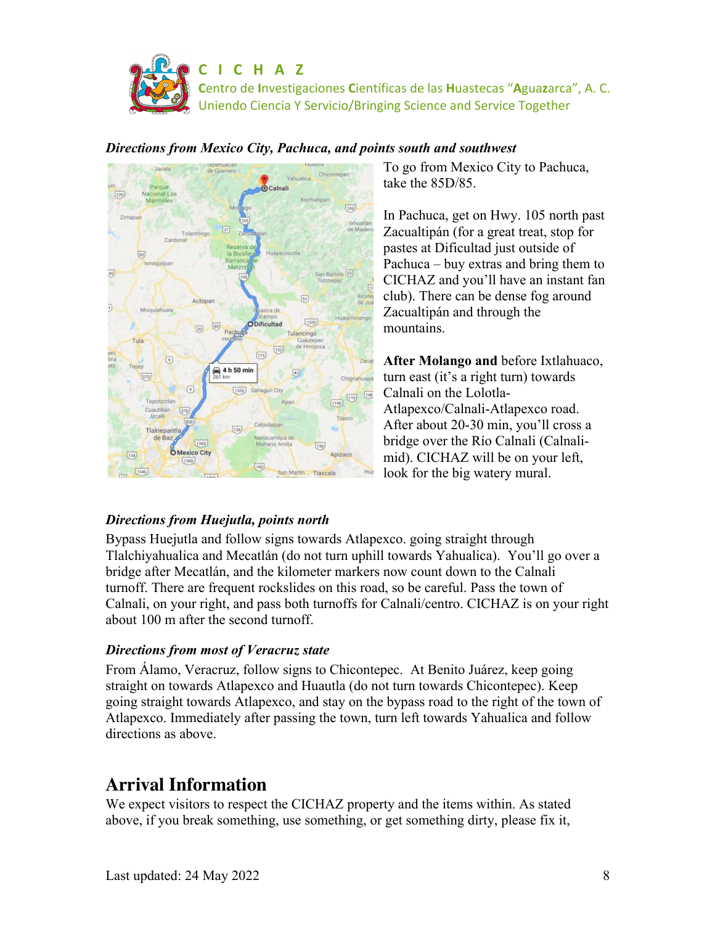



### *Directions from Mexico City, Pachuca, and points south and southwest*

To go from Mexico City to Pachuca, take the 85D/85.

In Pachuca, get on Hwy. 105 north past Zacualtipán (for a great treat, stop for pastes at Dificultad just outside of Pachuca – buy extras and bring them to CICHAZ and you'll have an instant fan club). There can be dense fog around Zacualtipán and through the mountains.

**After Molango and** before Ixtlahuaco, turn east (it's a right turn) towards Calnali on the Lolotla-Atlapexco/Calnali-Atlapexco road. After about 20-30 min, you'll cross a bridge over the Río Calnali (Calnalimid). CICHAZ will be on your left, look for the big watery mural.

## *Directions from Huejutla, points north*

Bypass Huejutla and follow signs towards Atlapexco. going straight through Tlalchiyahualica and Mecatlán (do not turn uphill towards Yahualica). You'll go over a bridge after Mecatlán, and the kilometer markers now count down to the Calnali turnoff. There are frequent rockslides on this road, so be careful. Pass the town of Calnali, on your right, and pass both turnoffs for Calnali/centro. CICHAZ is on your right about 100 m after the second turnoff.

## *Directions from most of Veracruz state*

From Álamo, Veracruz, follow signs to Chicontepec. At Benito Juárez, keep going straight on towards Atlapexco and Huautla (do not turn towards Chicontepec). Keep going straight towards Atlapexco, and stay on the bypass road to the right of the town of Atlapexco. Immediately after passing the town, turn left towards Yahualica and follow directions as above.

# **Arrival Information**

We expect visitors to respect the CICHAZ property and the items within. As stated above, if you break something, use something, or get something dirty, please fix it,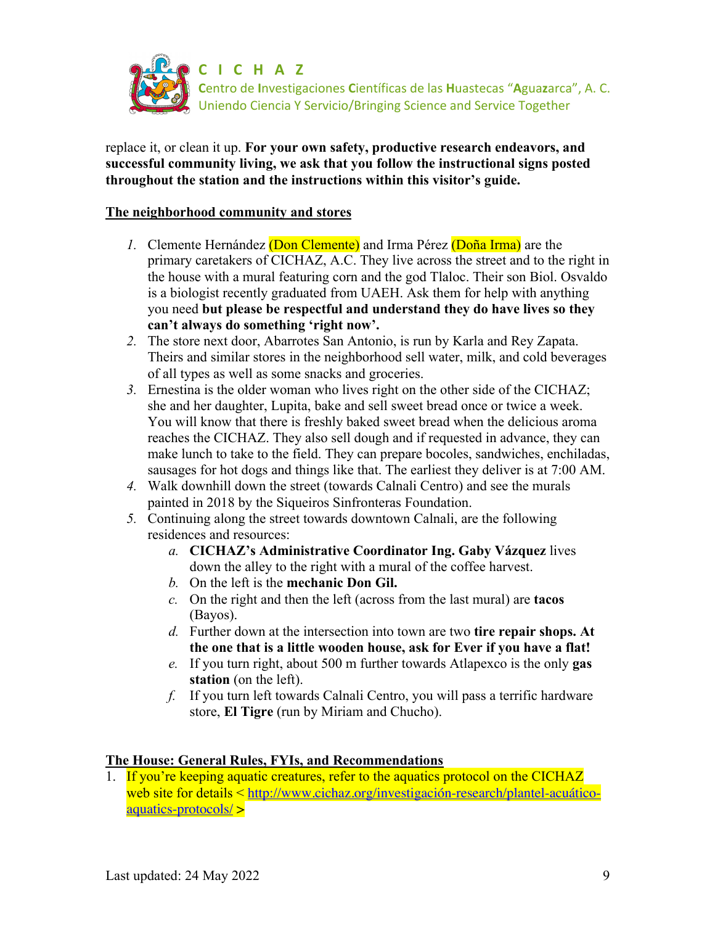

replace it, or clean it up. **For your own safety, productive research endeavors, and successful community living, we ask that you follow the instructional signs posted throughout the station and the instructions within this visitor's guide.**

#### **The neighborhood community and stores**

- *1.* Clemente Hernández (Don Clemente) and Irma Pérez (Doña Irma) are the primary caretakers of CICHAZ, A.C. They live across the street and to the right in the house with a mural featuring corn and the god Tlaloc. Their son Biol. Osvaldo is a biologist recently graduated from UAEH. Ask them for help with anything you need **but please be respectful and understand they do have lives so they can't always do something 'right now'.**
- *2.* The store next door, Abarrotes San Antonio, is run by Karla and Rey Zapata. Theirs and similar stores in the neighborhood sell water, milk, and cold beverages of all types as well as some snacks and groceries.
- *3.* Ernestina is the older woman who lives right on the other side of the CICHAZ; she and her daughter, Lupita, bake and sell sweet bread once or twice a week. You will know that there is freshly baked sweet bread when the delicious aroma reaches the CICHAZ. They also sell dough and if requested in advance, they can make lunch to take to the field. They can prepare bocoles, sandwiches, enchiladas, sausages for hot dogs and things like that. The earliest they deliver is at 7:00 AM.
- *4.* Walk downhill down the street (towards Calnali Centro) and see the murals painted in 2018 by the Siqueiros Sinfronteras Foundation.
- *5.* Continuing along the street towards downtown Calnali, are the following residences and resources:
	- *a.* **CICHAZ's Administrative Coordinator Ing. Gaby Vázquez** lives down the alley to the right with a mural of the coffee harvest.
	- *b.* On the left is the **mechanic Don Gil.**
	- *c.* On the right and then the left (across from the last mural) are **tacos**  (Bayos).
	- *d.* Further down at the intersection into town are two **tire repair shops. At the one that is a little wooden house, ask for Ever if you have a flat!**
	- *e.* If you turn right, about 500 m further towards Atlapexco is the only **gas station** (on the left).
	- *f.* If you turn left towards Calnali Centro, you will pass a terrific hardware store, **El Tigre** (run by Miriam and Chucho).

#### **The House: General Rules, FYIs, and Recommendations**

1. If you're keeping aquatic creatures, refer to the aquatics protocol on the CICHAZ web site for details < http://www.cichaz.org/investigación-research/plantel-acuáticoaquatics-protocols/ >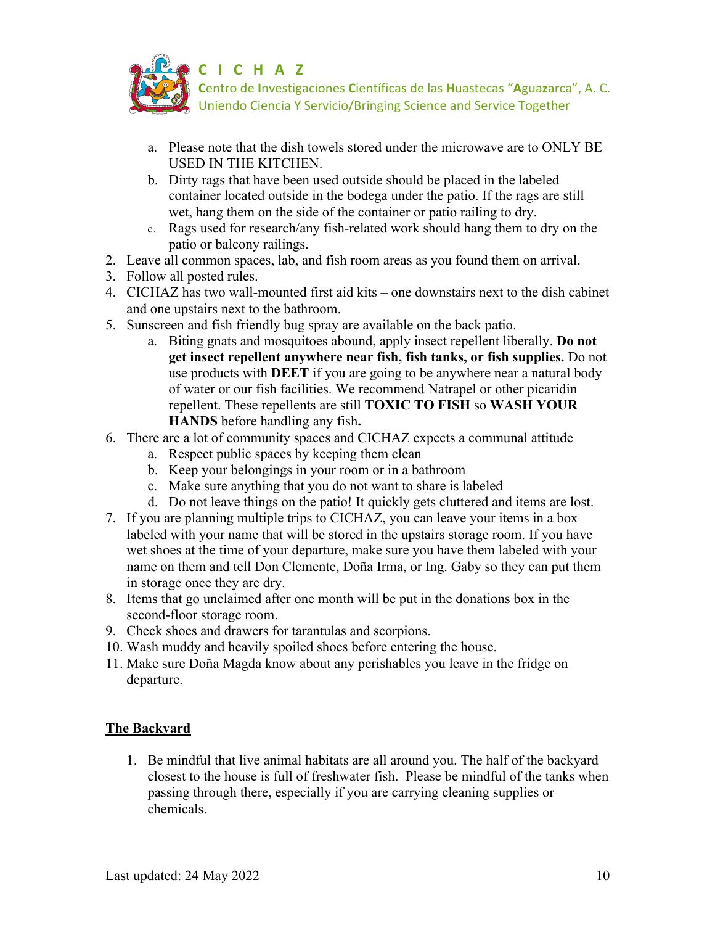

- a. Please note that the dish towels stored under the microwave are to ONLY BE USED IN THE KITCHEN.
- b. Dirty rags that have been used outside should be placed in the labeled container located outside in the bodega under the patio. If the rags are still wet, hang them on the side of the container or patio railing to dry.
- c. Rags used for research/any fish-related work should hang them to dry on the patio or balcony railings.
- 2. Leave all common spaces, lab, and fish room areas as you found them on arrival.
- 3. Follow all posted rules.
- 4. CICHAZ has two wall-mounted first aid kits one downstairs next to the dish cabinet and one upstairs next to the bathroom.
- 5. Sunscreen and fish friendly bug spray are available on the back patio.
	- a. Biting gnats and mosquitoes abound, apply insect repellent liberally. **Do not get insect repellent anywhere near fish, fish tanks, or fish supplies.** Do not use products with **DEET** if you are going to be anywhere near a natural body of water or our fish facilities. We recommend Natrapel or other picaridin repellent. These repellents are still **TOXIC TO FISH** so **WASH YOUR HANDS** before handling any fish**.**
- 6. There are a lot of community spaces and CICHAZ expects a communal attitude
	- a. Respect public spaces by keeping them clean
	- b. Keep your belongings in your room or in a bathroom
	- c. Make sure anything that you do not want to share is labeled
	- d. Do not leave things on the patio! It quickly gets cluttered and items are lost.
- 7. If you are planning multiple trips to CICHAZ, you can leave your items in a box labeled with your name that will be stored in the upstairs storage room. If you have wet shoes at the time of your departure, make sure you have them labeled with your name on them and tell Don Clemente, Doña Irma, or Ing. Gaby so they can put them in storage once they are dry.
- 8. Items that go unclaimed after one month will be put in the donations box in the second-floor storage room.
- 9. Check shoes and drawers for tarantulas and scorpions.
- 10. Wash muddy and heavily spoiled shoes before entering the house.
- 11. Make sure Doña Magda know about any perishables you leave in the fridge on departure.

### **The Backyard**

1. Be mindful that live animal habitats are all around you. The half of the backyard closest to the house is full of freshwater fish. Please be mindful of the tanks when passing through there, especially if you are carrying cleaning supplies or chemicals.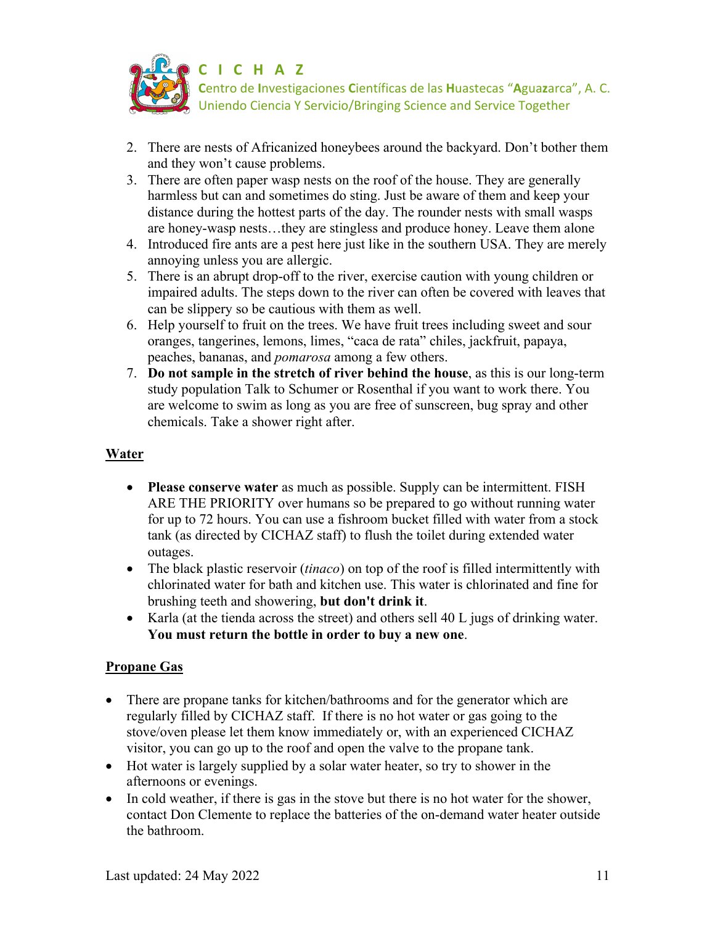

- 2. There are nests of Africanized honeybees around the backyard. Don't bother them and they won't cause problems.
- 3. There are often paper wasp nests on the roof of the house. They are generally harmless but can and sometimes do sting. Just be aware of them and keep your distance during the hottest parts of the day. The rounder nests with small wasps are honey-wasp nests…they are stingless and produce honey. Leave them alone
- 4. Introduced fire ants are a pest here just like in the southern USA. They are merely annoying unless you are allergic.
- 5. There is an abrupt drop-off to the river, exercise caution with young children or impaired adults. The steps down to the river can often be covered with leaves that can be slippery so be cautious with them as well.
- 6. Help yourself to fruit on the trees. We have fruit trees including sweet and sour oranges, tangerines, lemons, limes, "caca de rata" chiles, jackfruit, papaya, peaches, bananas, and *pomarosa* among a few others.
- 7. **Do not sample in the stretch of river behind the house**, as this is our long-term study population Talk to Schumer or Rosenthal if you want to work there. You are welcome to swim as long as you are free of sunscreen, bug spray and other chemicals. Take a shower right after.

### **Water**

- **Please conserve water** as much as possible. Supply can be intermittent. FISH ARE THE PRIORITY over humans so be prepared to go without running water for up to 72 hours. You can use a fishroom bucket filled with water from a stock tank (as directed by CICHAZ staff) to flush the toilet during extended water outages.
- The black plastic reservoir *(tinaco)* on top of the roof is filled intermittently with chlorinated water for bath and kitchen use. This water is chlorinated and fine for brushing teeth and showering, **but don't drink it**.
- Karla (at the tienda across the street) and others sell 40 L jugs of drinking water. **You must return the bottle in order to buy a new one**.

#### **Propane Gas**

- There are propane tanks for kitchen/bathrooms and for the generator which are regularly filled by CICHAZ staff. If there is no hot water or gas going to the stove/oven please let them know immediately or, with an experienced CICHAZ visitor, you can go up to the roof and open the valve to the propane tank.
- Hot water is largely supplied by a solar water heater, so try to shower in the afternoons or evenings.
- In cold weather, if there is gas in the stove but there is no hot water for the shower, contact Don Clemente to replace the batteries of the on-demand water heater outside the bathroom.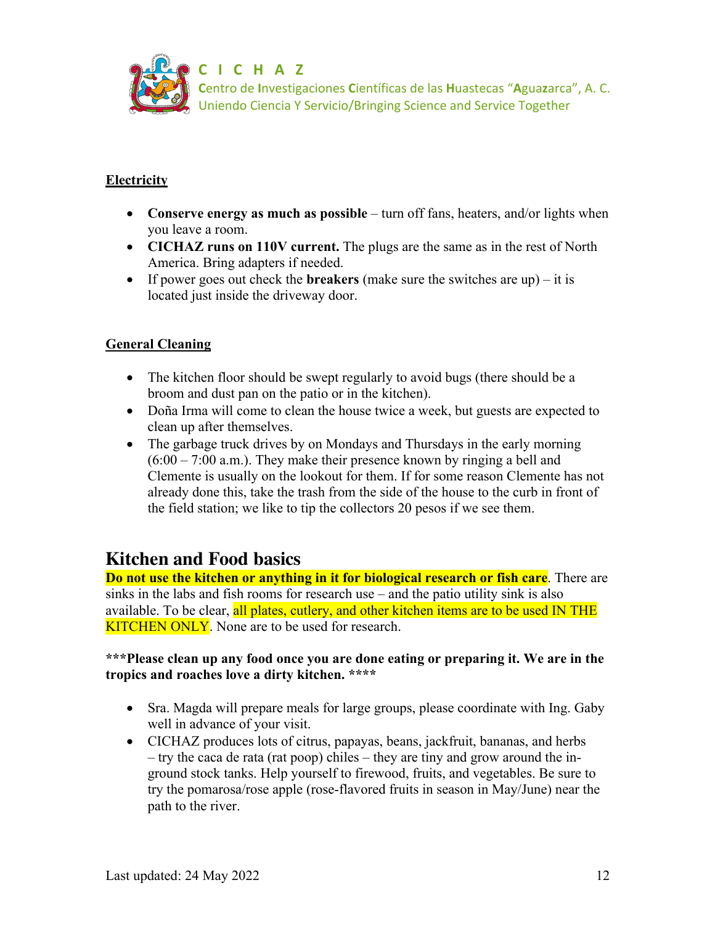

### **Electricity**

- **Conserve energy as much as possible** turn off fans, heaters, and/or lights when you leave a room.
- **CICHAZ runs on 110V current.** The plugs are the same as in the rest of North America. Bring adapters if needed.
- If power goes out check the **breakers** (make sure the switches are up) it is located just inside the driveway door.

## **General Cleaning**

- The kitchen floor should be swept regularly to avoid bugs (there should be a broom and dust pan on the patio or in the kitchen).
- Doña Irma will come to clean the house twice a week, but guests are expected to clean up after themselves.
- The garbage truck drives by on Mondays and Thursdays in the early morning  $(6:00 - 7:00$  a.m.). They make their presence known by ringing a bell and Clemente is usually on the lookout for them. If for some reason Clemente has not already done this, take the trash from the side of the house to the curb in front of the field station; we like to tip the collectors 20 pesos if we see them.

## **Kitchen and Food basics**

**Do not use the kitchen or anything in it for biological research or fish care**. There are sinks in the labs and fish rooms for research use – and the patio utility sink is also available. To be clear, all plates, cutlery, and other kitchen items are to be used IN THE **KITCHEN ONLY**. None are to be used for research.

#### **\*\*\*Please clean up any food once you are done eating or preparing it. We are in the tropics and roaches love a dirty kitchen. \*\*\*\***

- Sra. Magda will prepare meals for large groups, please coordinate with Ing. Gaby well in advance of your visit.
- CICHAZ produces lots of citrus, papayas, beans, jackfruit, bananas, and herbs – try the caca de rata (rat poop) chiles – they are tiny and grow around the inground stock tanks. Help yourself to firewood, fruits, and vegetables. Be sure to try the pomarosa/rose apple (rose-flavored fruits in season in May/June) near the path to the river.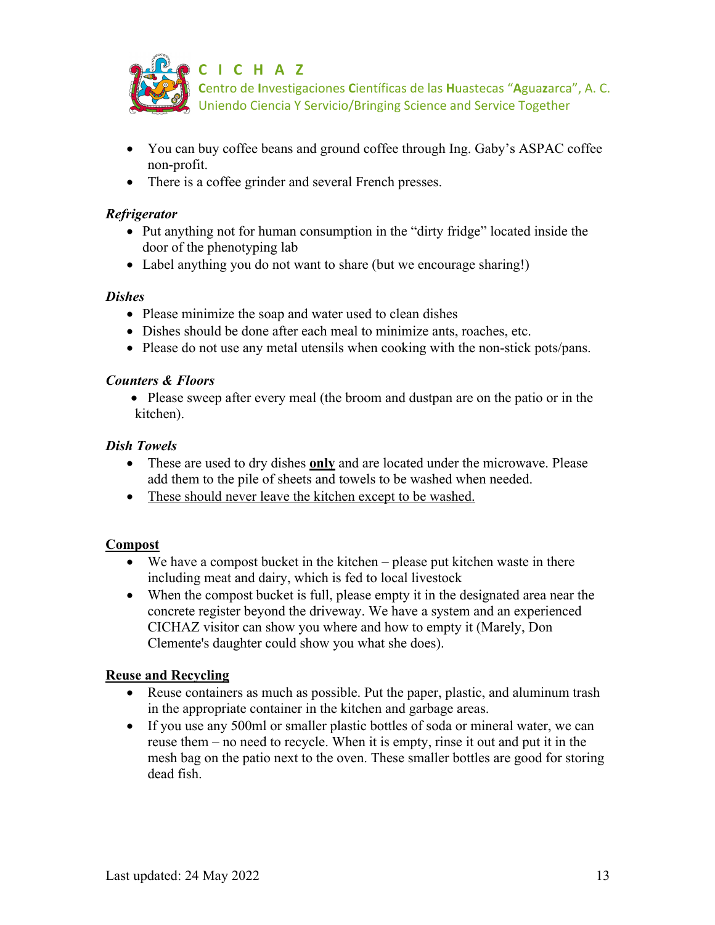

- You can buy coffee beans and ground coffee through Ing. Gaby's ASPAC coffee non-profit.
- There is a coffee grinder and several French presses.

#### *Refrigerator*

- Put anything not for human consumption in the "dirty fridge" located inside the door of the phenotyping lab
- Label anything you do not want to share (but we encourage sharing!)

#### *Dishes*

- Please minimize the soap and water used to clean dishes
- Dishes should be done after each meal to minimize ants, roaches, etc.
- Please do not use any metal utensils when cooking with the non-stick pots/pans.

### *Counters & Floors*

• Please sweep after every meal (the broom and dustpan are on the patio or in the kitchen).

### *Dish Towels*

- These are used to dry dishes **only** and are located under the microwave. Please add them to the pile of sheets and towels to be washed when needed.
- These should never <u>leave the kitchen except to be washed.</u>

### **Compost**

- We have a compost bucket in the kitchen please put kitchen waste in there including meat and dairy, which is fed to local livestock
- When the compost bucket is full, please empty it in the designated area near the concrete register beyond the driveway. We have a system and an experienced CICHAZ visitor can show you where and how to empty it (Marely, Don Clemente's daughter could show you what she does).

### **Reuse and Recycling**

- Reuse containers as much as possible. Put the paper, plastic, and aluminum trash in the appropriate container in the kitchen and garbage areas.
- If you use any 500ml or smaller plastic bottles of soda or mineral water, we can reuse them – no need to recycle. When it is empty, rinse it out and put it in the mesh bag on the patio next to the oven. These smaller bottles are good for storing dead fish.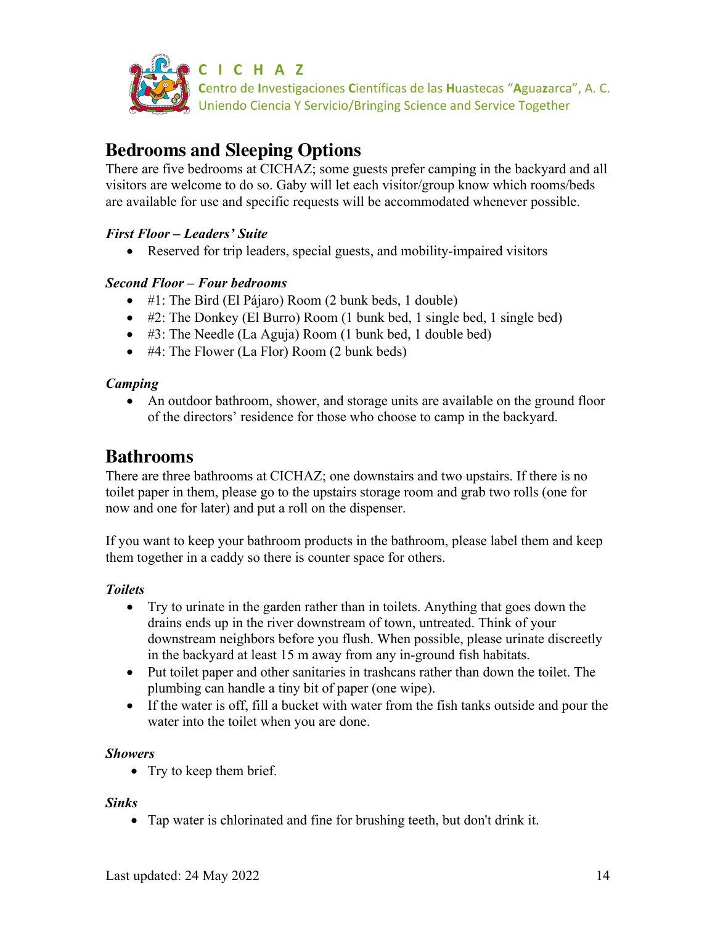

**C I C H A Z**

**C**entro de **I**nvestigaciones **C**ientíficas de las **H**uastecas "**A**gua**z**arca", A. C. Uniendo Ciencia Y Servicio/Bringing Science and Service Together

# **Bedrooms and Sleeping Options**

There are five bedrooms at CICHAZ; some guests prefer camping in the backyard and all visitors are welcome to do so. Gaby will let each visitor/group know which rooms/beds are available for use and specific requests will be accommodated whenever possible.

## *First Floor – Leaders' Suite*

• Reserved for trip leaders, special guests, and mobility-impaired visitors

## *Second Floor – Four bedrooms*

- #1: The Bird (El Pájaro) Room (2 bunk beds, 1 double)
- #2: The Donkey (El Burro) Room (1 bunk bed, 1 single bed, 1 single bed)
- #3: The Needle (La Aguja) Room (1 bunk bed, 1 double bed)
- #4: The Flower (La Flor) Room (2 bunk beds)

### *Camping*

• An outdoor bathroom, shower, and storage units are available on the ground floor of the directors' residence for those who choose to camp in the backyard.

## **Bathrooms**

There are three bathrooms at CICHAZ; one downstairs and two upstairs. If there is no toilet paper in them, please go to the upstairs storage room and grab two rolls (one for now and one for later) and put a roll on the dispenser.

If you want to keep your bathroom products in the bathroom, please label them and keep them together in a caddy so there is counter space for others.

### *Toilets*

- Try to urinate in the garden rather than in toilets. Anything that goes down the drains ends up in the river downstream of town, untreated. Think of your downstream neighbors before you flush. When possible, please urinate discreetly in the backyard at least 15 m away from any in-ground fish habitats.
- Put toilet paper and other sanitaries in trashcans rather than down the toilet. The plumbing can handle a tiny bit of paper (one wipe).
- If the water is off, fill a bucket with water from the fish tanks outside and pour the water into the toilet when you are done.

### *Showers*

• Try to keep them brief.

### *Sinks*

• Tap water is chlorinated and fine for brushing teeth, but don't drink it.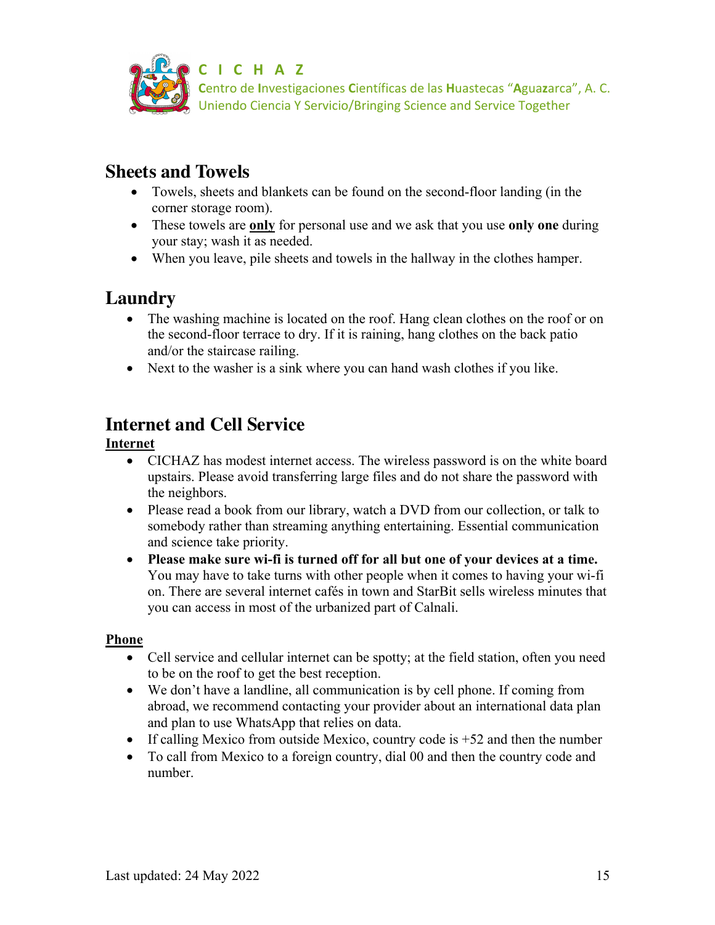

## **Sheets and Towels**

- Towels, sheets and blankets can be found on the second-floor landing (in the corner storage room).
- These towels are **only** for personal use and we ask that you use **only one** during your stay; wash it as needed.
- When you leave, pile sheets and towels in the hallway in the clothes hamper.

# **Laundry**

- The washing machine is located on the roof. Hang clean clothes on the roof or on the second-floor terrace to dry. If it is raining, hang clothes on the back patio and/or the staircase railing.
- Next to the washer is a sink where you can hand wash clothes if you like.

# **Internet and Cell Service**

### **Internet**

- CICHAZ has modest internet access. The wireless password is on the white board upstairs. Please avoid transferring large files and do not share the password with the neighbors.
- Please read a book from our library, watch a DVD from our collection, or talk to somebody rather than streaming anything entertaining. Essential communication and science take priority.
- **Please make sure wi-fi is turned off for all but one of your devices at a time.** You may have to take turns with other people when it comes to having your wi-fi on. There are several internet cafés in town and StarBit sells wireless minutes that you can access in most of the urbanized part of Calnali.

### **Phone**

- Cell service and cellular internet can be spotty; at the field station, often you need to be on the roof to get the best reception.
- We don't have a landline, all communication is by cell phone. If coming from abroad, we recommend contacting your provider about an international data plan and plan to use WhatsApp that relies on data.
- If calling Mexico from outside Mexico, country code is  $+52$  and then the number
- To call from Mexico to a foreign country, dial 00 and then the country code and number.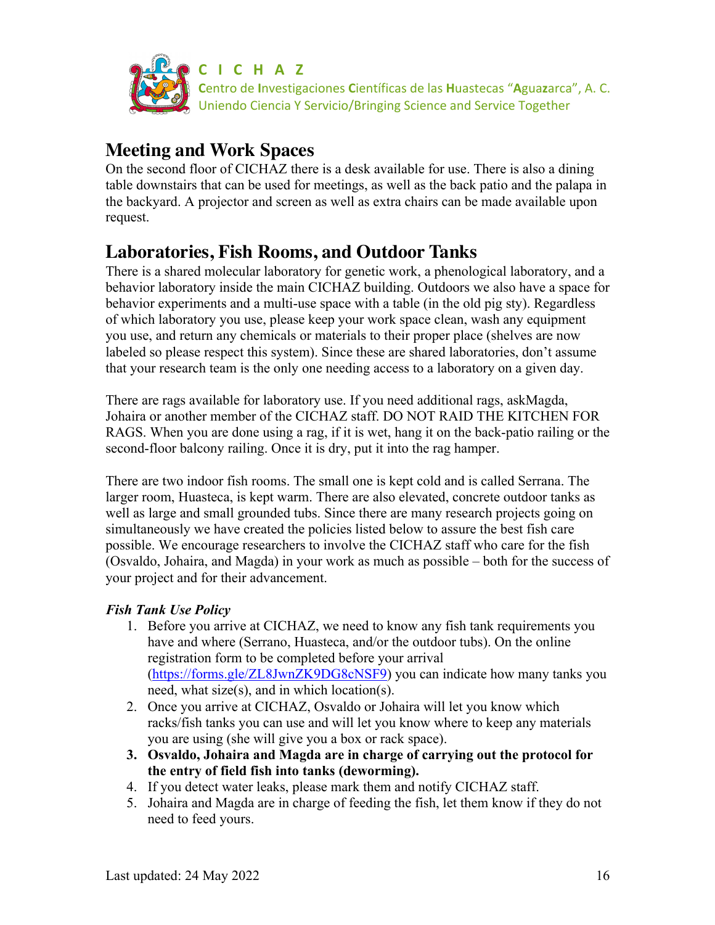

## **Meeting and Work Spaces**

On the second floor of CICHAZ there is a desk available for use. There is also a dining table downstairs that can be used for meetings, as well as the back patio and the palapa in the backyard. A projector and screen as well as extra chairs can be made available upon request.

# **Laboratories, Fish Rooms, and Outdoor Tanks**

There is a shared molecular laboratory for genetic work, a phenological laboratory, and a behavior laboratory inside the main CICHAZ building. Outdoors we also have a space for behavior experiments and a multi-use space with a table (in the old pig sty). Regardless of which laboratory you use, please keep your work space clean, wash any equipment you use, and return any chemicals or materials to their proper place (shelves are now labeled so please respect this system). Since these are shared laboratories, don't assume that your research team is the only one needing access to a laboratory on a given day.

There are rags available for laboratory use. If you need additional rags, askMagda, Johaira or another member of the CICHAZ staff. DO NOT RAID THE KITCHEN FOR RAGS. When you are done using a rag, if it is wet, hang it on the back-patio railing or the second-floor balcony railing. Once it is dry, put it into the rag hamper.

There are two indoor fish rooms. The small one is kept cold and is called Serrana. The larger room, Huasteca, is kept warm. There are also elevated, concrete outdoor tanks as well as large and small grounded tubs. Since there are many research projects going on simultaneously we have created the policies listed below to assure the best fish care possible. We encourage researchers to involve the CICHAZ staff who care for the fish (Osvaldo, Johaira, and Magda) in your work as much as possible – both for the success of your project and for their advancement.

## *Fish Tank Use Policy*

- 1. Before you arrive at CICHAZ, we need to know any fish tank requirements you have and where (Serrano, Huasteca, and/or the outdoor tubs). On the online registration form to be completed before your arrival (https://forms.gle/ZL8JwnZK9DG8cNSF9) you can indicate how many tanks you need, what size(s), and in which location(s).
- 2. Once you arrive at CICHAZ, Osvaldo or Johaira will let you know which racks/fish tanks you can use and will let you know where to keep any materials you are using (she will give you a box or rack space).
- **3. Osvaldo, Johaira and Magda are in charge of carrying out the protocol for the entry of field fish into tanks (deworming).**
- 4. If you detect water leaks, please mark them and notify CICHAZ staff.
- 5. Johaira and Magda are in charge of feeding the fish, let them know if they do not need to feed yours.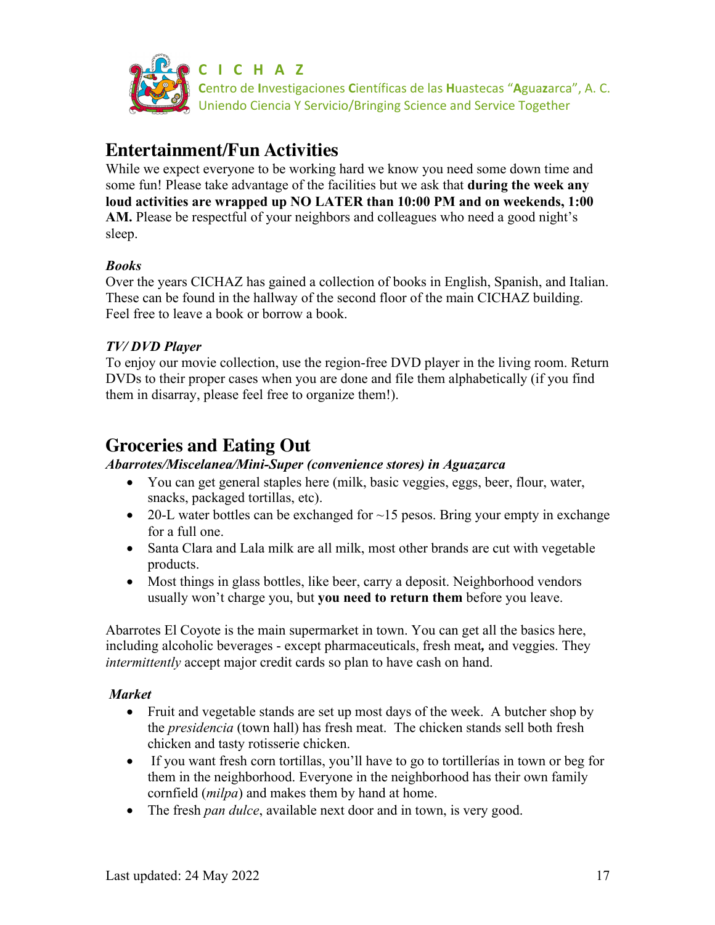

## **Entertainment/Fun Activities**

While we expect everyone to be working hard we know you need some down time and some fun! Please take advantage of the facilities but we ask that **during the week any loud activities are wrapped up NO LATER than 10:00 PM and on weekends, 1:00 AM.** Please be respectful of your neighbors and colleagues who need a good night's sleep.

### *Books*

Over the years CICHAZ has gained a collection of books in English, Spanish, and Italian. These can be found in the hallway of the second floor of the main CICHAZ building. Feel free to leave a book or borrow a book.

### *TV/ DVD Player*

To enjoy our movie collection, use the region-free DVD player in the living room. Return DVDs to their proper cases when you are done and file them alphabetically (if you find them in disarray, please feel free to organize them!).

# **Groceries and Eating Out**

### *Abarrotes/Miscelanea/Mini-Super (convenience stores) in Aguazarca*

- You can get general staples here (milk, basic veggies, eggs, beer, flour, water, snacks, packaged tortillas, etc).
- 20-L water bottles can be exchanged for  $\sim$ 15 pesos. Bring your empty in exchange for a full one.
- Santa Clara and Lala milk are all milk, most other brands are cut with vegetable products.
- Most things in glass bottles, like beer, carry a deposit. Neighborhood vendors usually won't charge you, but **you need to return them** before you leave.

Abarrotes El Coyote is the main supermarket in town. You can get all the basics here, including alcoholic beverages - except pharmaceuticals, fresh meat*,* and veggies. They *intermittently* accept major credit cards so plan to have cash on hand.

### *Market*

- Fruit and vegetable stands are set up most days of the week. A butcher shop by the *presidencia* (town hall) has fresh meat. The chicken stands sell both fresh chicken and tasty rotisserie chicken.
- If you want fresh corn tortillas, you'll have to go to tortillerías in town or beg for them in the neighborhood. Everyone in the neighborhood has their own family cornfield (*milpa*) and makes them by hand at home.
- The fresh *pan dulce*, available next door and in town, is very good.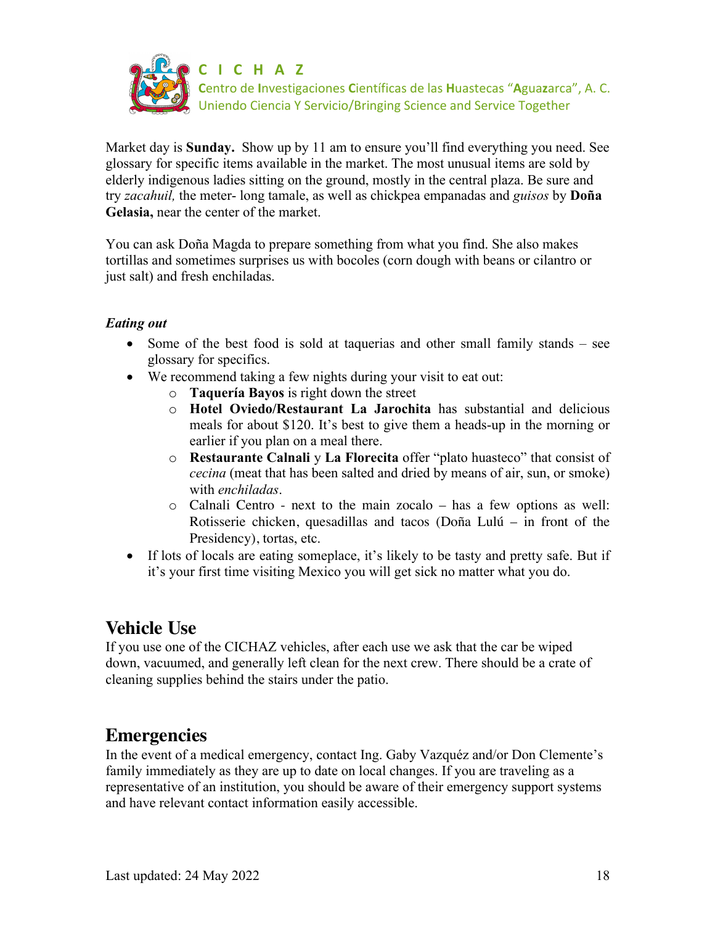

Market day is **Sunday.** Show up by 11 am to ensure you'll find everything you need. See glossary for specific items available in the market. The most unusual items are sold by elderly indigenous ladies sitting on the ground, mostly in the central plaza. Be sure and try *zacahuil,* the meter- long tamale, as well as chickpea empanadas and *guisos* by **Doña Gelasia,** near the center of the market.

You can ask Doña Magda to prepare something from what you find. She also makes tortillas and sometimes surprises us with bocoles (corn dough with beans or cilantro or just salt) and fresh enchiladas.

### *Eating out*

- Some of the best food is sold at taquerias and other small family stands see glossary for specifics.
- We recommend taking a few nights during your visit to eat out:
	- o **Taquería Bayos** is right down the street
	- o **Hotel Oviedo/Restaurant La Jarochita** has substantial and delicious meals for about \$120. It's best to give them a heads-up in the morning or earlier if you plan on a meal there.
	- o **Restaurante Calnali** y **La Florecita** offer "plato huasteco" that consist of *cecina* (meat that has been salted and dried by means of air, sun, or smoke) with *enchiladas*.
	- o Calnali Centro next to the main zocalo has a few options as well: Rotisserie chicken, quesadillas and tacos (Doña Lulú – in front of the Presidency), tortas, etc.
- If lots of locals are eating someplace, it's likely to be tasty and pretty safe. But if it's your first time visiting Mexico you will get sick no matter what you do.

# **Vehicle Use**

If you use one of the CICHAZ vehicles, after each use we ask that the car be wiped down, vacuumed, and generally left clean for the next crew. There should be a crate of cleaning supplies behind the stairs under the patio.

## **Emergencies**

In the event of a medical emergency, contact Ing. Gaby Vazquéz and/or Don Clemente's family immediately as they are up to date on local changes. If you are traveling as a representative of an institution, you should be aware of their emergency support systems and have relevant contact information easily accessible.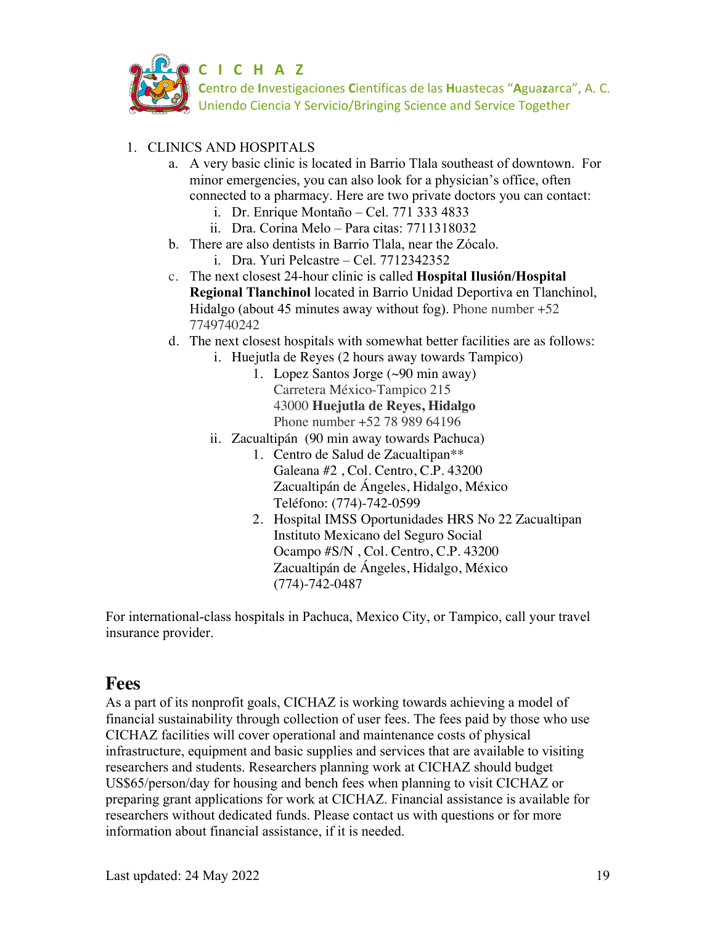

### 1. CLINICS AND HOSPITALS

- a. A very basic clinic is located in Barrio Tlala southeast of downtown. For minor emergencies, you can also look for a physician's office, often connected to a pharmacy. Here are two private doctors you can contact:
	- i. Dr. Enrique Montaño Cel. 771 333 4833
	- ii. Dra. Corina Melo Para citas: 7711318032
- b. There are also dentists in Barrio Tlala, near the Zócalo.
	- i. Dra. Yuri Pelcastre Cel. 7712342352
- c. The next closest 24-hour clinic is called **Hospital Ilusión/Hospital Regional Tlanchinol** located in Barrio Unidad Deportiva en Tlanchinol, Hidalgo (about 45 minutes away without fog). Phone number  $+52$ 7749740242
- d. The next closest hospitals with somewhat better facilities are as follows:
	- i. Huejutla de Reyes (2 hours away towards Tampico)
		- 1. Lopez Santos Jorge (~90 min away) Carretera México-Tampico 215 43000 **Huejutla de Reyes, Hidalgo** Phone number +52 78 989 64196
	- ii. Zacualtipán (90 min away towards Pachuca)
		- 1. Centro de Salud de Zacualtipan\*\* Galeana #2 , Col. Centro, C.P. 43200 Zacualtipán de Ángeles, Hidalgo, México Teléfono: (774)-742-0599
		- 2. Hospital IMSS Oportunidades HRS No 22 Zacualtipan Instituto Mexicano del Seguro Social Ocampo #S/N , Col. Centro, C.P. 43200 Zacualtipán de Ángeles, Hidalgo, México (774)-742-0487

For international-class hospitals in Pachuca, Mexico City, or Tampico, call your travel insurance provider.

## **Fees**

As a part of its nonprofit goals, CICHAZ is working towards achieving a model of financial sustainability through collection of user fees. The fees paid by those who use CICHAZ facilities will cover operational and maintenance costs of physical infrastructure, equipment and basic supplies and services that are available to visiting researchers and students. Researchers planning work at CICHAZ should budget US\$65/person/day for housing and bench fees when planning to visit CICHAZ or preparing grant applications for work at CICHAZ. Financial assistance is available for researchers without dedicated funds. Please contact us with questions or for more information about financial assistance, if it is needed.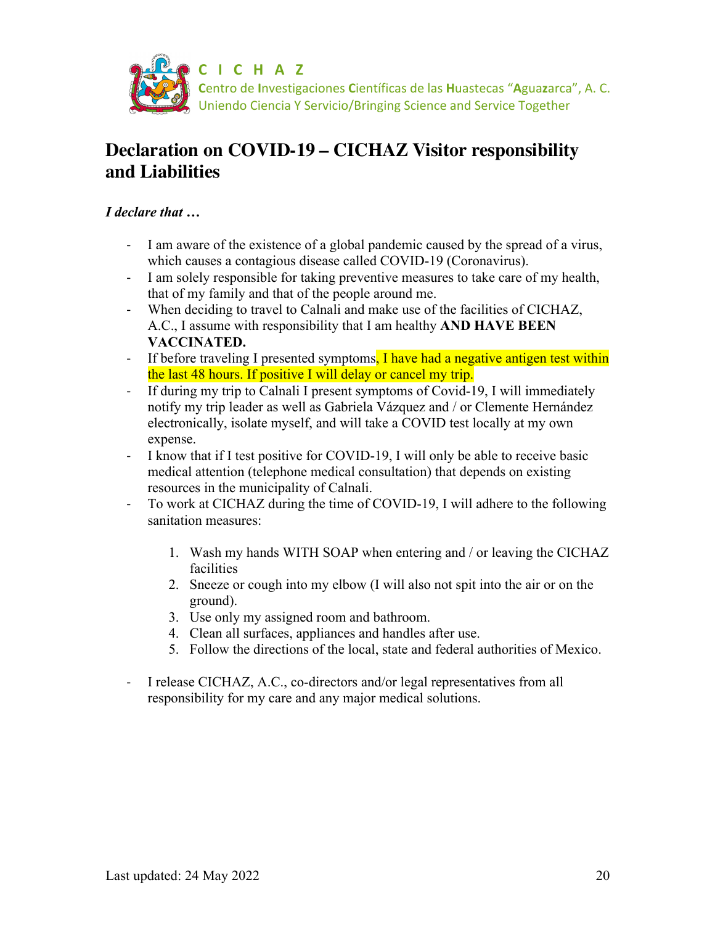

# **Declaration on COVID-19 – CICHAZ Visitor responsibility and Liabilities**

### *I declare that …*

- I am aware of the existence of a global pandemic caused by the spread of a virus, which causes a contagious disease called COVID-19 (Coronavirus).
- I am solely responsible for taking preventive measures to take care of my health, that of my family and that of the people around me.
- When deciding to travel to Calnali and make use of the facilities of CICHAZ, A.C., I assume with responsibility that I am healthy **AND HAVE BEEN VACCINATED.**
- If before traveling I presented symptoms, I have had a negative antigen test within the last 48 hours. If positive I will delay or cancel my trip.
- If during my trip to Calnali I present symptoms of Covid-19, I will immediately notify my trip leader as well as Gabriela Vázquez and / or Clemente Hernández electronically, isolate myself, and will take a COVID test locally at my own expense.
- I know that if I test positive for COVID-19, I will only be able to receive basic medical attention (telephone medical consultation) that depends on existing resources in the municipality of Calnali.
- To work at CICHAZ during the time of COVID-19, I will adhere to the following sanitation measures:
	- 1. Wash my hands WITH SOAP when entering and / or leaving the CICHAZ facilities
	- 2. Sneeze or cough into my elbow (I will also not spit into the air or on the ground).
	- 3. Use only my assigned room and bathroom.
	- 4. Clean all surfaces, appliances and handles after use.
	- 5. Follow the directions of the local, state and federal authorities of Mexico.
- I release CICHAZ, A.C., co-directors and/or legal representatives from all responsibility for my care and any major medical solutions.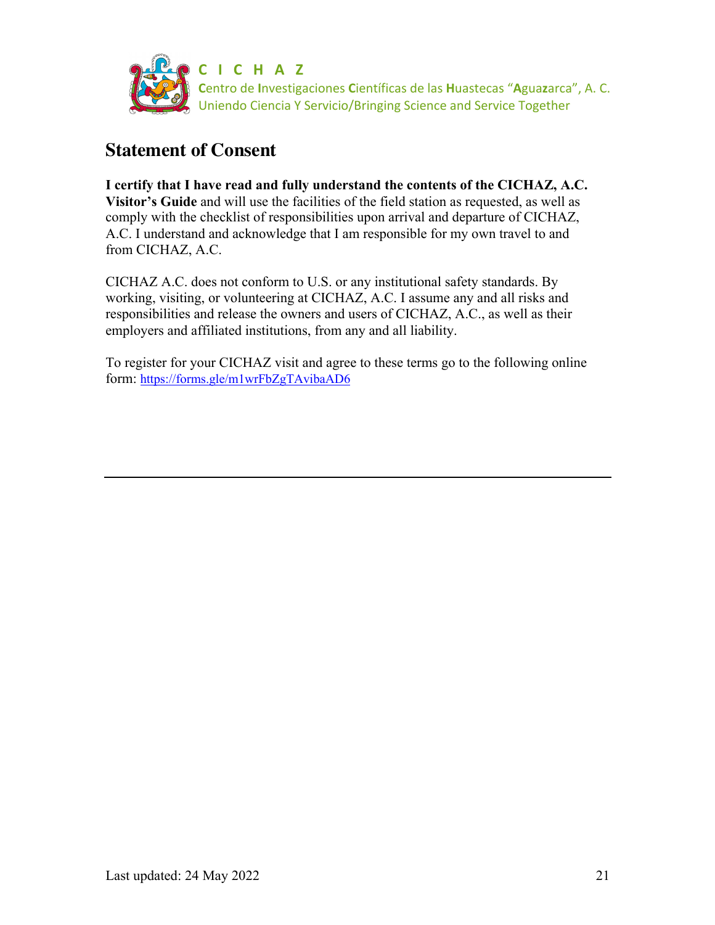

# **Statement of Consent**

**I certify that I have read and fully understand the contents of the CICHAZ, A.C. Visitor's Guide** and will use the facilities of the field station as requested, as well as comply with the checklist of responsibilities upon arrival and departure of CICHAZ, A.C. I understand and acknowledge that I am responsible for my own travel to and from CICHAZ, A.C.

CICHAZ A.C. does not conform to U.S. or any institutional safety standards. By working, visiting, or volunteering at CICHAZ, A.C. I assume any and all risks and responsibilities and release the owners and users of CICHAZ, A.C., as well as their employers and affiliated institutions, from any and all liability.

To register for your CICHAZ visit and agree to these terms go to the following online form: https://forms.gle/m1wrFbZgTAvibaAD6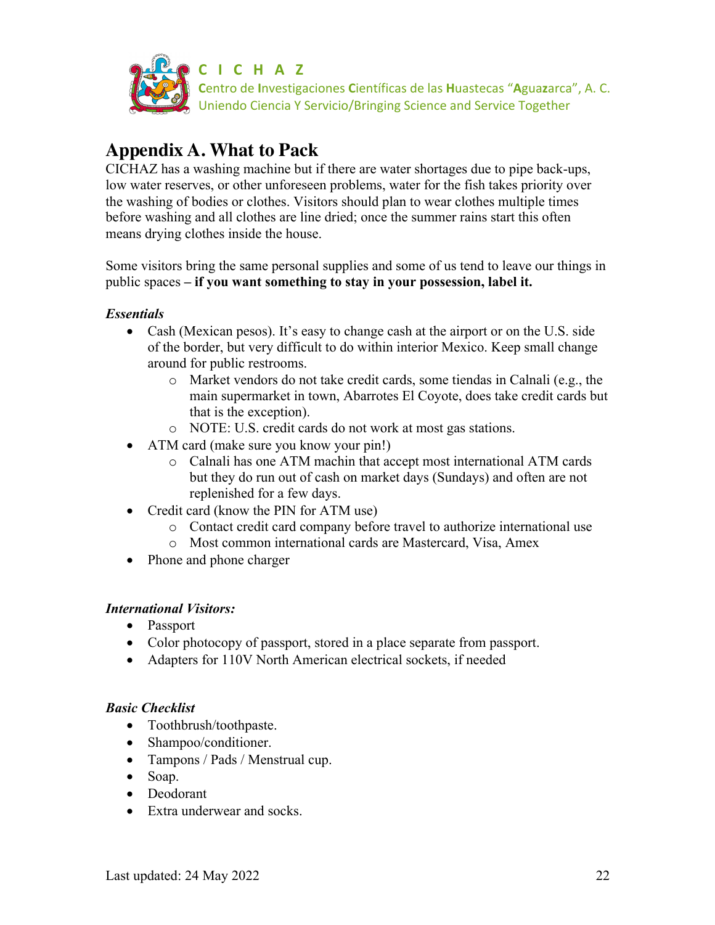

# **Appendix A. What to Pack**

CICHAZ has a washing machine but if there are water shortages due to pipe back-ups, low water reserves, or other unforeseen problems, water for the fish takes priority over the washing of bodies or clothes. Visitors should plan to wear clothes multiple times before washing and all clothes are line dried; once the summer rains start this often means drying clothes inside the house.

Some visitors bring the same personal supplies and some of us tend to leave our things in public spaces **– if you want something to stay in your possession, label it.** 

### *Essentials*

- Cash (Mexican pesos). It's easy to change cash at the airport or on the U.S. side of the border, but very difficult to do within interior Mexico. Keep small change around for public restrooms.
	- o Market vendors do not take credit cards, some tiendas in Calnali (e.g., the main supermarket in town, Abarrotes El Coyote, does take credit cards but that is the exception).
	- o NOTE: U.S. credit cards do not work at most gas stations.
- ATM card (make sure you know your pin!)
	- o Calnali has one ATM machin that accept most international ATM cards but they do run out of cash on market days (Sundays) and often are not replenished for a few days.
- Credit card (know the PIN for ATM use)
	- o Contact credit card company before travel to authorize international use
	- o Most common international cards are Mastercard, Visa, Amex
- Phone and phone charger

### *International Visitors:*

- Passport
- Color photocopy of passport, stored in a place separate from passport.
- Adapters for 110V North American electrical sockets, if needed

### *Basic Checklist*

- Toothbrush/toothpaste.
- Shampoo/conditioner.
- Tampons / Pads / Menstrual cup.
- Soap.
- Deodorant
- Extra underwear and socks.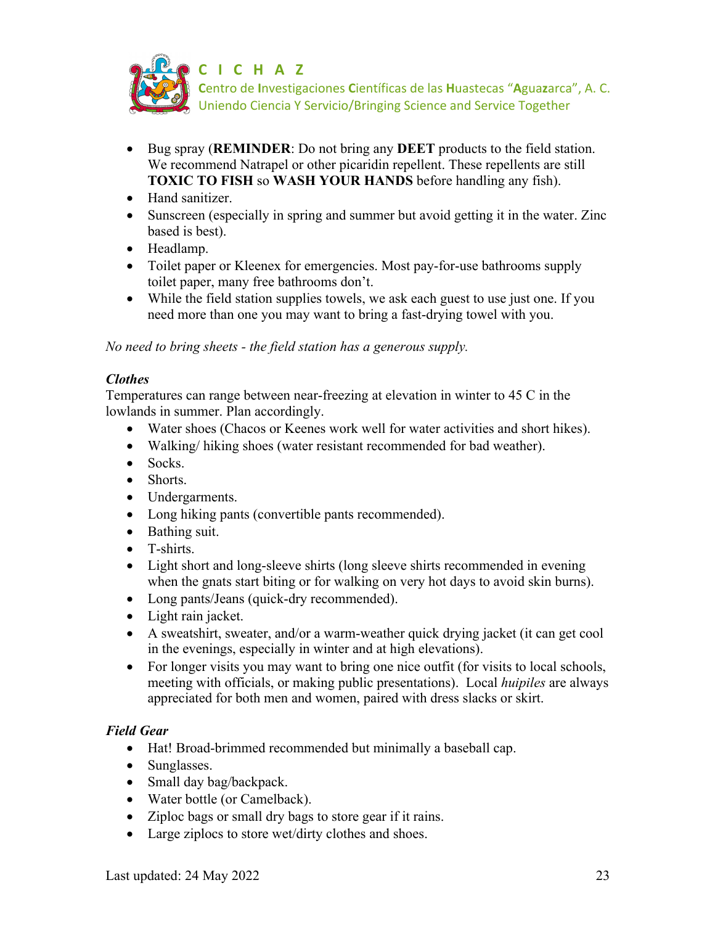

- Bug spray (**REMINDER**: Do not bring any **DEET** products to the field station. We recommend Natrapel or other picaridin repellent. These repellents are still **TOXIC TO FISH** so **WASH YOUR HANDS** before handling any fish).
- Hand sanitizer.
- Sunscreen (especially in spring and summer but avoid getting it in the water. Zinc based is best).
- Headlamp.
- Toilet paper or Kleenex for emergencies. Most pay-for-use bathrooms supply toilet paper, many free bathrooms don't.
- While the field station supplies towels, we ask each guest to use just one. If you need more than one you may want to bring a fast-drying towel with you.

*No need to bring sheets - the field station has a generous supply.*

### *Clothes*

Temperatures can range between near-freezing at elevation in winter to 45 C in the lowlands in summer. Plan accordingly.

- Water shoes (Chacos or Keenes work well for water activities and short hikes).
- Walking/ hiking shoes (water resistant recommended for bad weather).
- Socks.
- Shorts.
- Undergarments.
- Long hiking pants (convertible pants recommended).
- Bathing suit.
- T-shirts.
- Light short and long-sleeve shirts (long sleeve shirts recommended in evening when the gnats start biting or for walking on very hot days to avoid skin burns).
- Long pants/Jeans (quick-dry recommended).
- Light rain jacket.
- A sweatshirt, sweater, and/or a warm-weather quick drying jacket (it can get cool in the evenings, especially in winter and at high elevations).
- For longer visits you may want to bring one nice outfit (for visits to local schools, meeting with officials, or making public presentations). Local *huipiles* are always appreciated for both men and women, paired with dress slacks or skirt.

### *Field Gear*

- Hat! Broad-brimmed recommended but minimally a baseball cap.
- Sunglasses.
- Small day bag/backpack.
- Water bottle (or Camelback).
- Ziploc bags or small dry bags to store gear if it rains.
- Large ziplocs to store wet/dirty clothes and shoes.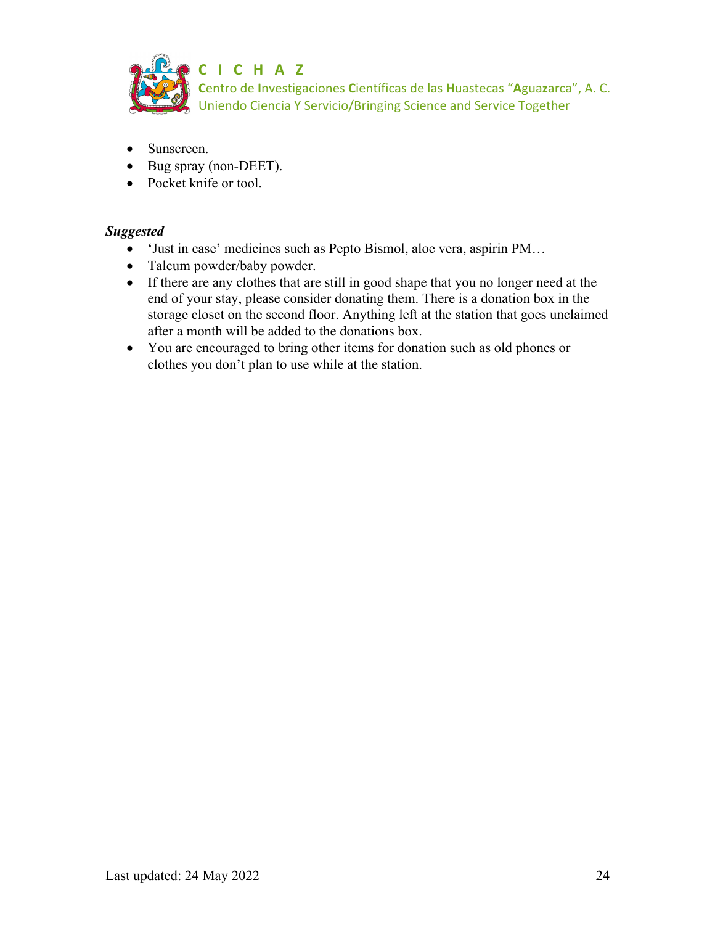

- Sunscreen.
- Bug spray (non-DEET).
- Pocket knife or tool.

#### *Suggested*

- 'Just in case' medicines such as Pepto Bismol, aloe vera, aspirin PM…
- Talcum powder/baby powder.
- If there are any clothes that are still in good shape that you no longer need at the end of your stay, please consider donating them. There is a donation box in the storage closet on the second floor. Anything left at the station that goes unclaimed after a month will be added to the donations box.
- You are encouraged to bring other items for donation such as old phones or clothes you don't plan to use while at the station.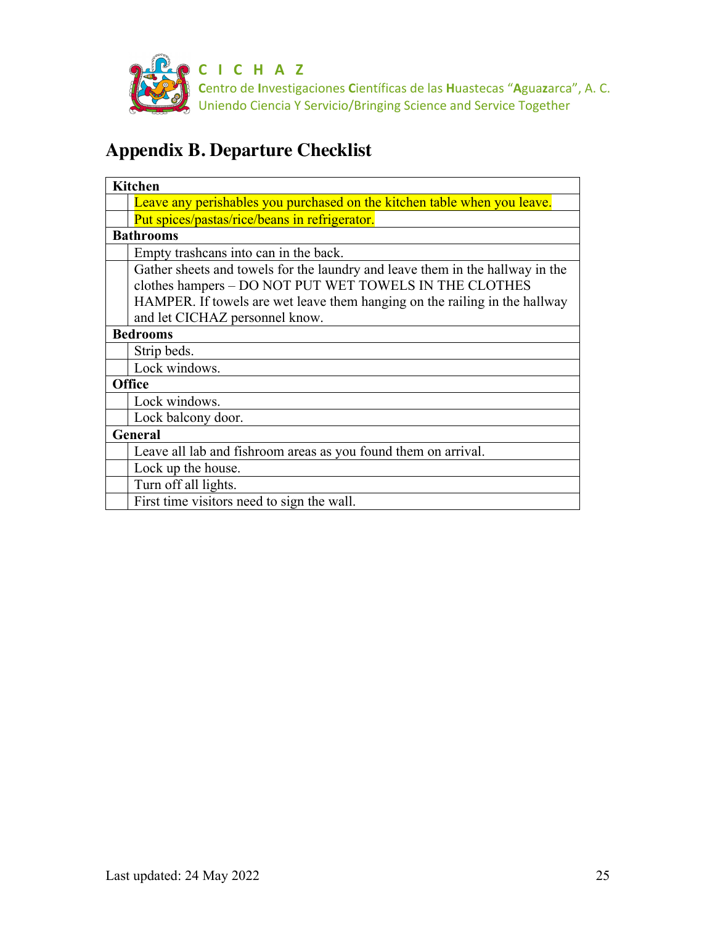

# **Appendix B. Departure Checklist**

| <b>Kitchen</b>                                                                                                                                                                                                        |
|-----------------------------------------------------------------------------------------------------------------------------------------------------------------------------------------------------------------------|
| Leave any perishables you purchased on the kitchen table when you leave.                                                                                                                                              |
| Put spices/pastas/rice/beans in refrigerator.                                                                                                                                                                         |
| <b>Bathrooms</b>                                                                                                                                                                                                      |
| Empty trashcans into can in the back.                                                                                                                                                                                 |
| Gather sheets and towels for the laundry and leave them in the hallway in the<br>clothes hampers - DO NOT PUT WET TOWELS IN THE CLOTHES<br>HAMPER. If towels are wet leave them hanging on the railing in the hallway |
| and let CICHAZ personnel know.                                                                                                                                                                                        |
| <b>Bedrooms</b>                                                                                                                                                                                                       |
| Strip beds.                                                                                                                                                                                                           |
| Lock windows.                                                                                                                                                                                                         |
| Office                                                                                                                                                                                                                |
| Lock windows.                                                                                                                                                                                                         |
| Lock balcony door.                                                                                                                                                                                                    |
| <b>General</b>                                                                                                                                                                                                        |
| Leave all lab and fishroom areas as you found them on arrival.                                                                                                                                                        |
| Lock up the house.                                                                                                                                                                                                    |
| Turn off all lights.                                                                                                                                                                                                  |
| First time visitors need to sign the wall.                                                                                                                                                                            |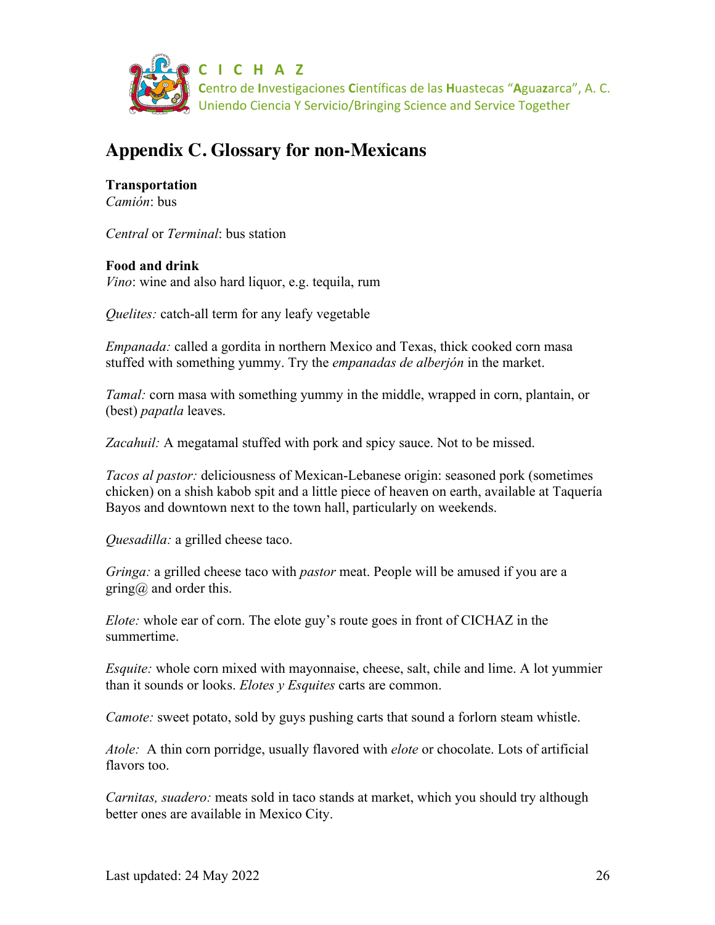

# **Appendix C. Glossary for non-Mexicans**

**Transportation** *Camión*: bus

*Central* or *Terminal*: bus station

### **Food and drink**

*Vino*: wine and also hard liquor, e.g. tequila, rum

*Quelites:* catch-all term for any leafy vegetable

*Empanada:* called a gordita in northern Mexico and Texas, thick cooked corn masa stuffed with something yummy. Try the *empanadas de alberjón* in the market.

*Tamal:* corn masa with something yummy in the middle, wrapped in corn, plantain, or (best) *papatla* leaves.

*Zacahuil:* A megatamal stuffed with pork and spicy sauce. Not to be missed.

*Tacos al pastor:* deliciousness of Mexican-Lebanese origin: seasoned pork (sometimes chicken) on a shish kabob spit and a little piece of heaven on earth, available at Taquería Bayos and downtown next to the town hall, particularly on weekends.

*Quesadilla:* a grilled cheese taco.

*Gringa:* a grilled cheese taco with *pastor* meat. People will be amused if you are a gring $\omega$  and order this.

*Elote:* whole ear of corn. The elote guy's route goes in front of CICHAZ in the summertime.

*Esquite:* whole corn mixed with mayonnaise, cheese, salt, chile and lime. A lot yummier than it sounds or looks. *Elotes y Esquites* carts are common.

*Camote:* sweet potato, sold by guys pushing carts that sound a forlorn steam whistle.

*Atole:* A thin corn porridge, usually flavored with *elote* or chocolate. Lots of artificial flavors too.

*Carnitas, suadero:* meats sold in taco stands at market, which you should try although better ones are available in Mexico City.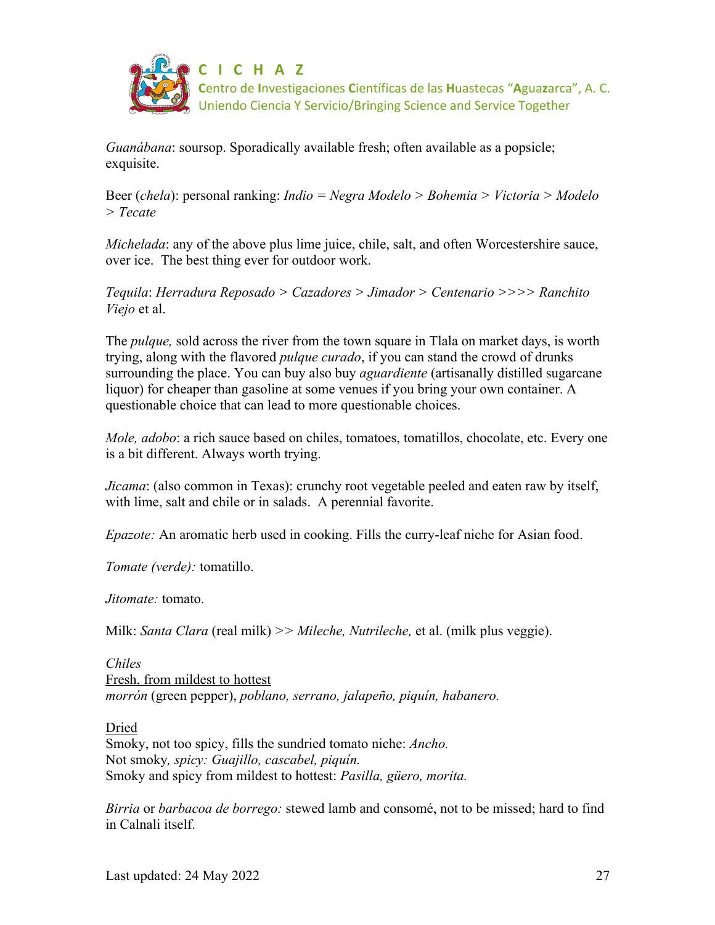

*Guanábana*: soursop. Sporadically available fresh; often available as a popsicle; exquisite.

Beer (*chela*): personal ranking: *Indio = Negra Modelo > Bohemia > Victoria > Modelo > Tecate*

*Michelada*: any of the above plus lime juice, chile, salt, and often Worcestershire sauce, over ice. The best thing ever for outdoor work.

*Tequila*: *Herradura Reposado > Cazadores > Jimador > Centenario >>>> Ranchito Viejo* et al.

The *pulque,* sold across the river from the town square in Tlala on market days, is worth trying, along with the flavored *pulque curado*, if you can stand the crowd of drunks surrounding the place. You can buy also buy *aguardiente* (artisanally distilled sugarcane liquor) for cheaper than gasoline at some venues if you bring your own container. A questionable choice that can lead to more questionable choices.

*Mole, adobo*: a rich sauce based on chiles, tomatoes, tomatillos, chocolate, etc. Every one is a bit different. Always worth trying.

*Jicama*: (also common in Texas): crunchy root vegetable peeled and eaten raw by itself, with lime, salt and chile or in salads. A perennial favorite.

*Epazote:* An aromatic herb used in cooking. Fills the curry-leaf niche for Asian food.

*Tomate (verde):* tomatillo.

*Jitomate:* tomato.

Milk: *Santa Clara* (real milk) *>> Mileche, Nutrileche,* et al. (milk plus veggie).

*Chiles* Fresh, from mildest to hottest *morrón* (green pepper), *poblano, serrano, jalapeño, piquín, habanero.*

#### Dried

Smoky, not too spicy, fills the sundried tomato niche: *Ancho.* Not smoky*, spicy: Guajillo, cascabel, piquín.* Smoky and spicy from mildest to hottest: *Pasilla, güero, morita.*

*Birria* or *barbacoa de borrego:* stewed lamb and consomé, not to be missed; hard to find in Calnali itself.